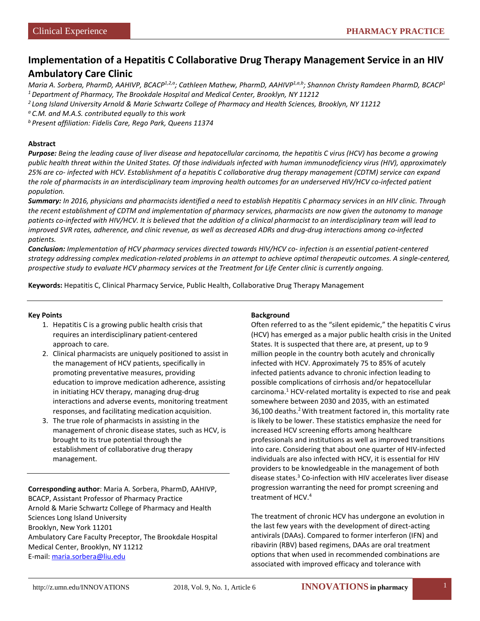# **Implementation of a Hepatitis C Collaborative Drug Therapy Management Service in an HIV Ambulatory Care Clinic**

*Maria A. Sorbera, PharmD, AAHIVP, BCACP1,2,a; Cathleen Mathew, PharmD, AAHIVP1,a,b; Shannon Christy Ramdeen PharmD, BCACP1 1 Department of Pharmacy, The Brookdale Hospital and Medical Center, Brooklyn, NY 11212*

*2 Long Island University Arnold & Marie Schwartz College of Pharmacy and Health Sciences, Brooklyn, NY 11212*

*a C.M. and M.A.S. contributed equally to this work*

*b Present affiliation: Fidelis Care, Rego Park, Queens 11374*

#### **Abstract**

*Purpose: Being the leading cause of liver disease and hepatocellular carcinoma, the hepatitis C virus (HCV) has become a growing public health threat within the United States. Of those individuals infected with human immunodeficiency virus (HIV), approximately 25% are co- infected with HCV. Establishment of a hepatitis C collaborative drug therapy management (CDTM) service can expand the role of pharmacists in an interdisciplinary team improving health outcomes for an underserved HIV/HCV co-infected patient population.*

*Summary: In 2016, physicians and pharmacists identified a need to establish Hepatitis C pharmacy services in an HIV clinic. Through the recent establishment of CDTM and implementation of pharmacy services, pharmacists are now given the autonomy to manage patients co-infected with HIV/HCV. It is believed that the addition of a clinical pharmacist to an interdisciplinary team will lead to improved SVR rates, adherence, and clinic revenue, as well as decreased ADRs and drug-drug interactions among co-infected patients.*

*Conclusion: Implementation of HCV pharmacy services directed towards HIV/HCV co- infection is an essential patient-centered strategy addressing complex medication-related problems in an attempt to achieve optimal therapeutic outcomes. A single-centered, prospective study to evaluate HCV pharmacy services at the Treatment for Life Center clinic is currently ongoing.*

**Keywords:** Hepatitis C, Clinical Pharmacy Service, Public Health, Collaborative Drug Therapy Management

#### **Key Points**

- 1. Hepatitis C is a growing public health crisis that requires an interdisciplinary patient-centered approach to care.
- 2. Clinical pharmacists are uniquely positioned to assist in the management of HCV patients, specifically in promoting preventative measures, providing education to improve medication adherence, assisting in initiating HCV therapy, managing drug-drug interactions and adverse events, monitoring treatment responses, and facilitating medication acquisition.
- 3. The true role of pharmacists in assisting in the management of chronic disease states, such as HCV, is brought to its true potential through the establishment of collaborative drug therapy management.

**Corresponding author**: Maria A. Sorbera, PharmD, AAHIVP, BCACP, Assistant Professor of Pharmacy Practice Arnold & Marie Schwartz College of Pharmacy and Health Sciences Long Island University Brooklyn, New York 11201 Ambulatory Care Faculty Preceptor, The Brookdale Hospital Medical Center, Brooklyn, NY 11212 E-mail: [maria.sorbera@liu.edu](mailto:maria.sorbera@liu.edu)

#### **Background**

Often referred to as the "silent epidemic," the hepatitis C virus (HCV) has emerged as a major public health crisis in the United States. It is suspected that there are, at present, up to 9 million people in the country both acutely and chronically infected with HCV. Approximately 75 to 85% of acutely infected patients advance to chronic infection leading to possible complications of cirrhosis and/or hepatocellular carcinoma.<sup>1</sup> HCV-related mortality is expected to rise and peak somewhere between 2030 and 2035, with an estimated 36,100 deaths.<sup>2</sup> With treatment factored in, this mortality rate is likely to be lower. These statistics emphasize the need for increased HCV screening efforts among healthcare professionals and institutions as well as improved transitions into care. Considering that about one quarter of HIV-infected individuals are also infected with HCV, it is essential for HIV providers to be knowledgeable in the management of both disease states.<sup>3</sup> Co-infection with HIV accelerates liver disease progression warranting the need for prompt screening and treatment of HCV.4

The treatment of chronic HCV has undergone an evolution in the last few years with the development of direct-acting antivirals (DAAs). Compared to former interferon (IFN) and ribavirin (RBV) based regimens, DAAs are oral treatment options that when used in recommended combinations are associated with improved efficacy and tolerance with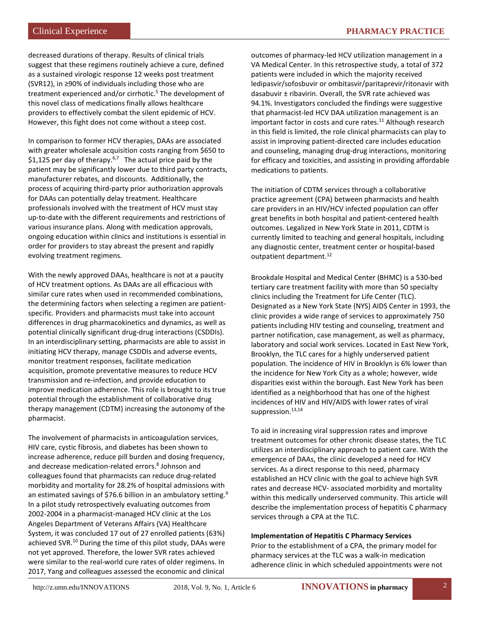decreased durations of therapy. Results of clinical trials suggest that these regimens routinely achieve a cure, defined as a sustained virologic response 12 weeks post treatment (SVR12), in ≥90% of individuals including those who are treatment experienced and/or cirrhotic.<sup>5</sup> The development of this novel class of medications finally allows healthcare providers to effectively combat the silent epidemic of HCV. However, this fight does not come without a steep cost.

In comparison to former HCV therapies, DAAs are associated with greater wholesale acquisition costs ranging from \$650 to \$1,125 per day of therapy.<sup>6,7</sup> The actual price paid by the patient may be significantly lower due to third party contracts, manufacturer rebates, and discounts. Additionally, the process of acquiring third-party prior authorization approvals for DAAs can potentially delay treatment. Healthcare professionals involved with the treatment of HCV must stay up-to-date with the different requirements and restrictions of various insurance plans. Along with medication approvals, ongoing education within clinics and institutions is essential in order for providers to stay abreast the present and rapidly evolving treatment regimens.

With the newly approved DAAs, healthcare is not at a paucity of HCV treatment options. As DAAs are all efficacious with similar cure rates when used in recommended combinations, the determining factors when selecting a regimen are patientspecific. Providers and pharmacists must take into account differences in drug pharmacokinetics and dynamics, as well as potential clinically significant drug-drug interactions (CSDDIs). In an interdisciplinary setting, pharmacists are able to assist in initiating HCV therapy, manage CSDDIs and adverse events, monitor treatment responses, facilitate medication acquisition, promote preventative measures to reduce HCV transmission and re-infection, and provide education to improve medication adherence. This role is brought to its true potential through the establishment of collaborative drug therapy management (CDTM) increasing the autonomy of the pharmacist.

The involvement of pharmacists in anticoagulation services, HIV care, cystic fibrosis, and diabetes has been shown to increase adherence, reduce pill burden and dosing frequency, and decrease medication-related errors.<sup>8</sup> Johnson and colleagues found that pharmacists can reduce drug-related morbidity and mortality for 28.2% of hospital admissions with an estimated savings of \$76.6 billion in an ambulatory setting.<sup>9</sup> In a pilot study retrospectively evaluating outcomes from 2002-2004 in a pharmacist-managed HCV clinic at the Los Angeles Department of Veterans Affairs (VA) Healthcare System, it was concluded 17 out of 27 enrolled patients (63%) achieved SVR.10 During the time of this pilot study, DAAs were not yet approved. Therefore, the lower SVR rates achieved were similar to the real-world cure rates of older regimens. In 2017, Yang and colleagues assessed the economic and clinical

outcomes of pharmacy-led HCV utilization management in a VA Medical Center. In this retrospective study, a total of 372 patients were included in which the majority received ledipasvir/sofosbuvir or ombitasvir/paritaprevir/ritonavir with dasabuvir ± ribavirin. Overall, the SVR rate achieved was 94.1%. Investigators concluded the findings were suggestive that pharmacist-led HCV DAA utilization management is an important factor in costs and cure rates. $11$  Although research in this field is limited, the role clinical pharmacists can play to assist in improving patient-directed care includes education and counseling, managing drug-drug interactions, monitoring for efficacy and toxicities, and assisting in providing affordable medications to patients.

The initiation of CDTM services through a collaborative practice agreement (CPA) between pharmacists and health care providers in an HIV/HCV infected population can offer great benefits in both hospital and patient-centered health outcomes. Legalized in New York State in 2011, CDTM is currently limited to teaching and general hospitals, including any diagnostic center, treatment center or hospital-based outpatient department.<sup>12</sup>

Brookdale Hospital and Medical Center (BHMC) is a 530-bed tertiary care treatment facility with more than 50 specialty clinics including the Treatment for Life Center (TLC). Designated as a New York State (NYS) AIDS Center in 1993, the clinic provides a wide range of services to approximately 750 patients including HIV testing and counseling, treatment and partner notification, case management, as well as pharmacy, laboratory and social work services. Located in East New York, Brooklyn, the TLC cares for a highly underserved patient population. The incidence of HIV in Brooklyn is 6% lower than the incidence for New York City as a whole; however, wide disparities exist within the borough. East New York has been identified as a neighborhood that has one of the highest incidences of HIV and HIV/AIDS with lower rates of viral suppression. $13,14$ 

To aid in increasing viral suppression rates and improve treatment outcomes for other chronic disease states, the TLC utilizes an interdisciplinary approach to patient care. With the emergence of DAAs, the clinic developed a need for HCV services. As a direct response to this need, pharmacy established an HCV clinic with the goal to achieve high SVR rates and decrease HCV- associated morbidity and mortality within this medically underserved community. This article will describe the implementation process of hepatitis C pharmacy services through a CPA at the TLC.

## **Implementation of Hepatitis C Pharmacy Services**

Prior to the establishment of a CPA, the primary model for pharmacy services at the TLC was a walk-in medication adherence clinic in which scheduled appointments were not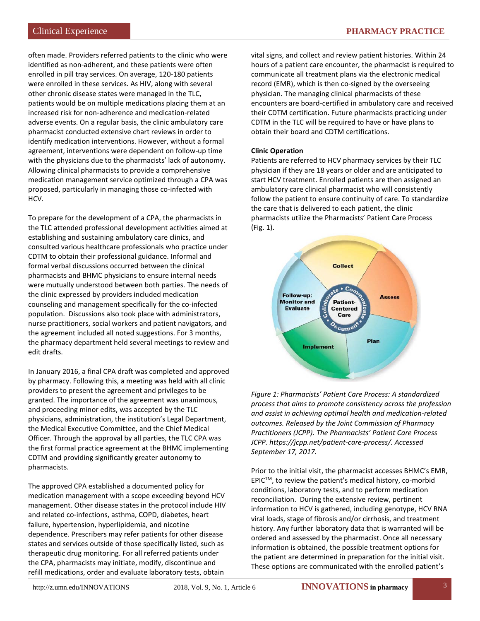often made. Providers referred patients to the clinic who were identified as non-adherent, and these patients were often enrolled in pill tray services. On average, 120-180 patients were enrolled in these services. As HIV, along with several other chronic disease states were managed in the TLC, patients would be on multiple medications placing them at an increased risk for non-adherence and medication-related adverse events. On a regular basis, the clinic ambulatory care pharmacist conducted extensive chart reviews in order to identify medication interventions. However, without a formal agreement, interventions were dependent on follow-up time with the physicians due to the pharmacists' lack of autonomy. Allowing clinical pharmacists to provide a comprehensive medication management service optimized through a CPA was proposed, particularly in managing those co-infected with HCV.

To prepare for the development of a CPA, the pharmacists in the TLC attended professional development activities aimed at establishing and sustaining ambulatory care clinics, and consulted various healthcare professionals who practice under CDTM to obtain their professional guidance. Informal and formal verbal discussions occurred between the clinical pharmacists and BHMC physicians to ensure internal needs were mutually understood between both parties. The needs of the clinic expressed by providers included medication counseling and management specifically for the co-infected population. Discussions also took place with administrators, nurse practitioners, social workers and patient navigators, and the agreement included all noted suggestions. For 3 months, the pharmacy department held several meetings to review and edit drafts.

In January 2016, a final CPA draft was completed and approved by pharmacy. Following this, a meeting was held with all clinic providers to present the agreement and privileges to be granted. The importance of the agreement was unanimous, and proceeding minor edits, was accepted by the TLC physicians, administration, the institution's Legal Department, the Medical Executive Committee, and the Chief Medical Officer. Through the approval by all parties, the TLC CPA was the first formal practice agreement at the BHMC implementing CDTM and providing significantly greater autonomy to pharmacists.

The approved CPA established a documented policy for medication management with a scope exceeding beyond HCV management. Other disease states in the protocol include HIV and related co-infections, asthma, COPD, diabetes, heart failure, hypertension, hyperlipidemia, and nicotine dependence. Prescribers may refer patients for other disease states and services outside of those specifically listed, such as therapeutic drug monitoring. For all referred patients under the CPA, pharmacists may initiate, modify, discontinue and refill medications, order and evaluate laboratory tests, obtain

vital signs, and collect and review patient histories. Within 24 hours of a patient care encounter, the pharmacist is required to communicate all treatment plans via the electronic medical record (EMR), which is then co-signed by the overseeing physician. The managing clinical pharmacists of these encounters are board-certified in ambulatory care and received their CDTM certification. Future pharmacists practicing under CDTM in the TLC will be required to have or have plans to obtain their board and CDTM certifications.

## **Clinic Operation**

Patients are referred to HCV pharmacy services by their TLC physician if they are 18 years or older and are anticipated to start HCV treatment. Enrolled patients are then assigned an ambulatory care clinical pharmacist who will consistently follow the patient to ensure continuity of care. To standardize the care that is delivered to each patient, the clinic pharmacists utilize the Pharmacists' Patient Care Process (Fig. 1).



*Figure 1: Pharmacists' Patient Care Process: A standardized process that aims to promote consistency across the profession and assist in achieving optimal health and medication-related outcomes. Released by the Joint Commission of Pharmacy Practitioners (JCPP). The Pharmacists' Patient Care Process JCPP. https://jcpp.net/patient-care-process/. Accessed September 17, 2017.*

Prior to the initial visit, the pharmacist accesses BHMC's EMR,  $EPIC^{TM}$ , to review the patient's medical history, co-morbid conditions, laboratory tests, and to perform medication reconciliation. During the extensive review, pertinent information to HCV is gathered, including genotype, HCV RNA viral loads, stage of fibrosis and/or cirrhosis, and treatment history. Any further laboratory data that is warranted will be ordered and assessed by the pharmacist. Once all necessary information is obtained, the possible treatment options for the patient are determined in preparation for the initial visit. These options are communicated with the enrolled patient's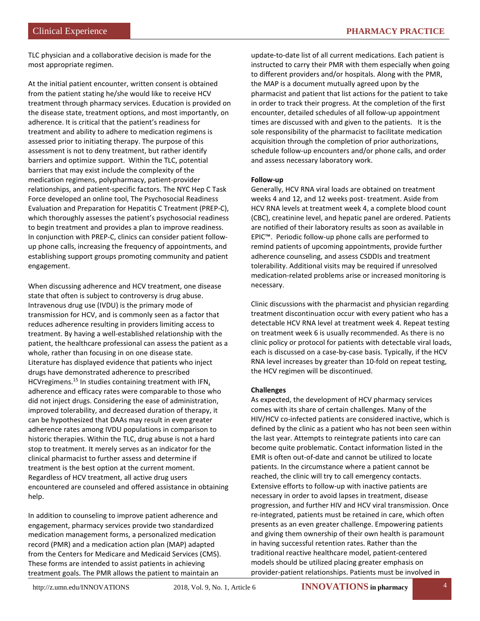TLC physician and a collaborative decision is made for the most appropriate regimen.

At the initial patient encounter, written consent is obtained from the patient stating he/she would like to receive HCV treatment through pharmacy services. Education is provided on the disease state, treatment options, and most importantly, on adherence. It is critical that the patient's readiness for treatment and ability to adhere to medication regimens is assessed prior to initiating therapy. The purpose of this assessment is not to deny treatment, but rather identify barriers and optimize support. Within the TLC, potential barriers that may exist include the complexity of the medication regimens, polypharmacy, patient-provider relationships, and patient-specific factors. The NYC Hep C Task Force developed an online tool, The Psychosocial Readiness Evaluation and Preparation for Hepatitis C Treatment (PREP-C), which thoroughly assesses the patient's psychosocial readiness to begin treatment and provides a plan to improve readiness. In conjunction with PREP-C, clinics can consider patient followup phone calls, increasing the frequency of appointments, and establishing support groups promoting community and patient engagement.

When discussing adherence and HCV treatment, one disease state that often is subject to controversy is drug abuse. Intravenous drug use (IVDU) is the primary mode of transmission for HCV, and is commonly seen as a factor that reduces adherence resulting in providers limiting access to treatment. By having a well-established relationship with the patient, the healthcare professional can assess the patient as a whole, rather than focusing in on one disease state. Literature has displayed evidence that patients who inject drugs have demonstrated adherence to prescribed HCVregimens.15 In studies containing treatment with IFN, adherence and efficacy rates were comparable to those who did not inject drugs. Considering the ease of administration, improved tolerability, and decreased duration of therapy, it can be hypothesized that DAAs may result in even greater adherence rates among IVDU populations in comparison to historic therapies. Within the TLC, drug abuse is not a hard stop to treatment. It merely serves as an indicator for the clinical pharmacist to further assess and determine if treatment is the best option at the current moment. Regardless of HCV treatment, all active drug users encountered are counseled and offered assistance in obtaining help.

In addition to counseling to improve patient adherence and engagement, pharmacy services provide two standardized medication management forms, a personalized medication record (PMR) and a medication action plan (MAP) adapted from the Centers for Medicare and Medicaid Services (CMS). These forms are intended to assist patients in achieving treatment goals. The PMR allows the patient to maintain an

update-to-date list of all current medications. Each patient is instructed to carry their PMR with them especially when going to different providers and/or hospitals. Along with the PMR, the MAP is a document mutually agreed upon by the pharmacist and patient that list actions for the patient to take in order to track their progress. At the completion of the first encounter, detailed schedules of all follow-up appointment times are discussed with and given to the patients. It is the sole responsibility of the pharmacist to facilitate medication acquisition through the completion of prior authorizations, schedule follow-up encounters and/or phone calls, and order and assess necessary laboratory work.

## **Follow-up**

Generally, HCV RNA viral loads are obtained on treatment weeks 4 and 12, and 12 weeks post- treatment. Aside from HCV RNA levels at treatment week 4, a complete blood count (CBC), creatinine level, and hepatic panel are ordered. Patients are notified of their laboratory results as soon as available in EPIC™. Periodic follow-up phone calls are performed to remind patients of upcoming appointments, provide further adherence counseling, and assess CSDDIs and treatment tolerability. Additional visits may be required if unresolved medication-related problems arise or increased monitoring is necessary.

Clinic discussions with the pharmacist and physician regarding treatment discontinuation occur with every patient who has a detectable HCV RNA level at treatment week 4. Repeat testing on treatment week 6 is usually recommended. As there is no clinic policy or protocol for patients with detectable viral loads, each is discussed on a case-by-case basis. Typically, if the HCV RNA level increases by greater than 10-fold on repeat testing, the HCV regimen will be discontinued.

## **Challenges**

As expected, the development of HCV pharmacy services comes with its share of certain challenges. Many of the HIV/HCV co-infected patients are considered inactive, which is defined by the clinic as a patient who has not been seen within the last year. Attempts to reintegrate patients into care can become quite problematic. Contact information listed in the EMR is often out-of-date and cannot be utilized to locate patients. In the circumstance where a patient cannot be reached, the clinic will try to call emergency contacts. Extensive efforts to follow-up with inactive patients are necessary in order to avoid lapses in treatment, disease progression, and further HIV and HCV viral transmission. Once re-integrated, patients must be retained in care, which often presents as an even greater challenge. Empowering patients and giving them ownership of their own health is paramount in having successful retention rates. Rather than the traditional reactive healthcare model, patient-centered models should be utilized placing greater emphasis on provider-patient relationships. Patients must be involved in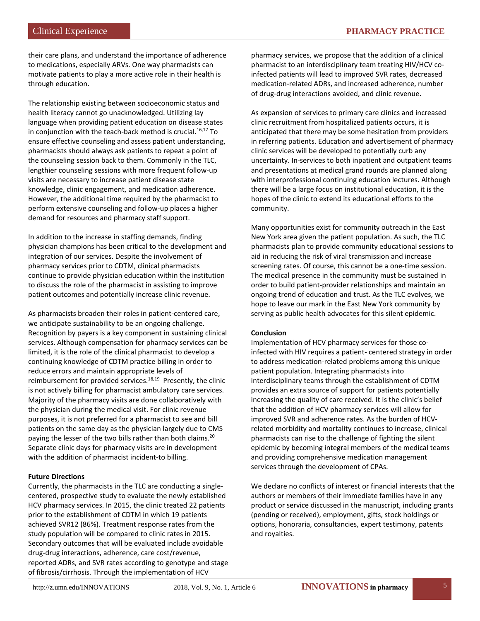their care plans, and understand the importance of adherence to medications, especially ARVs. One way pharmacists can motivate patients to play a more active role in their health is through education.

The relationship existing between socioeconomic status and health literacy cannot go unacknowledged. Utilizing lay language when providing patient education on disease states in conjunction with the teach-back method is crucial. $16,17$  To ensure effective counseling and assess patient understanding, pharmacists should always ask patients to repeat a point of the counseling session back to them. Commonly in the TLC, lengthier counseling sessions with more frequent follow-up visits are necessary to increase patient disease state knowledge, clinic engagement, and medication adherence. However, the additional time required by the pharmacist to perform extensive counseling and follow-up places a higher demand for resources and pharmacy staff support.

In addition to the increase in staffing demands, finding physician champions has been critical to the development and integration of our services. Despite the involvement of pharmacy services prior to CDTM, clinical pharmacists continue to provide physician education within the institution to discuss the role of the pharmacist in assisting to improve patient outcomes and potentially increase clinic revenue.

As pharmacists broaden their roles in patient-centered care, we anticipate sustainability to be an ongoing challenge. Recognition by payers is a key component in sustaining clinical services. Although compensation for pharmacy services can be limited, it is the role of the clinical pharmacist to develop a continuing knowledge of CDTM practice billing in order to reduce errors and maintain appropriate levels of reimbursement for provided services.<sup>18,19</sup> Presently, the clinic is not actively billing for pharmacist ambulatory care services. Majority of the pharmacy visits are done collaboratively with the physician during the medical visit. For clinic revenue purposes, it is not preferred for a pharmacist to see and bill patients on the same day as the physician largely due to CMS paying the lesser of the two bills rather than both claims.<sup>20</sup> Separate clinic days for pharmacy visits are in development with the addition of pharmacist incident-to billing.

## **Future Directions**

Currently, the pharmacists in the TLC are conducting a singlecentered, prospective study to evaluate the newly established HCV pharmacy services. In 2015, the clinic treated 22 patients prior to the establishment of CDTM in which 19 patients achieved SVR12 (86%). Treatment response rates from the study population will be compared to clinic rates in 2015. Secondary outcomes that will be evaluated include avoidable drug-drug interactions, adherence, care cost/revenue, reported ADRs, and SVR rates according to genotype and stage of fibrosis/cirrhosis. Through the implementation of HCV

pharmacy services, we propose that the addition of a clinical pharmacist to an interdisciplinary team treating HIV/HCV coinfected patients will lead to improved SVR rates, decreased medication-related ADRs, and increased adherence, number of drug-drug interactions avoided, and clinic revenue.

As expansion of services to primary care clinics and increased clinic recruitment from hospitalized patients occurs, it is anticipated that there may be some hesitation from providers in referring patients. Education and advertisement of pharmacy clinic services will be developed to potentially curb any uncertainty. In-services to both inpatient and outpatient teams and presentations at medical grand rounds are planned along with interprofessional continuing education lectures. Although there will be a large focus on institutional education, it is the hopes of the clinic to extend its educational efforts to the community.

Many opportunities exist for community outreach in the East New York area given the patient population. As such, the TLC pharmacists plan to provide community educational sessions to aid in reducing the risk of viral transmission and increase screening rates. Of course, this cannot be a one-time session. The medical presence in the community must be sustained in order to build patient-provider relationships and maintain an ongoing trend of education and trust. As the TLC evolves, we hope to leave our mark in the East New York community by serving as public health advocates for this silent epidemic.

## **Conclusion**

Implementation of HCV pharmacy services for those coinfected with HIV requires a patient- centered strategy in order to address medication-related problems among this unique patient population. Integrating pharmacists into interdisciplinary teams through the establishment of CDTM provides an extra source of support for patients potentially increasing the quality of care received. It is the clinic's belief that the addition of HCV pharmacy services will allow for improved SVR and adherence rates. As the burden of HCVrelated morbidity and mortality continues to increase, clinical pharmacists can rise to the challenge of fighting the silent epidemic by becoming integral members of the medical teams and providing comprehensive medication management services through the development of CPAs.

We declare no conflicts of interest or financial interests that the authors or members of their immediate families have in any product or service discussed in the manuscript, including grants (pending or received), employment, gifts, stock holdings or options, honoraria, consultancies, expert testimony, patents and royalties.